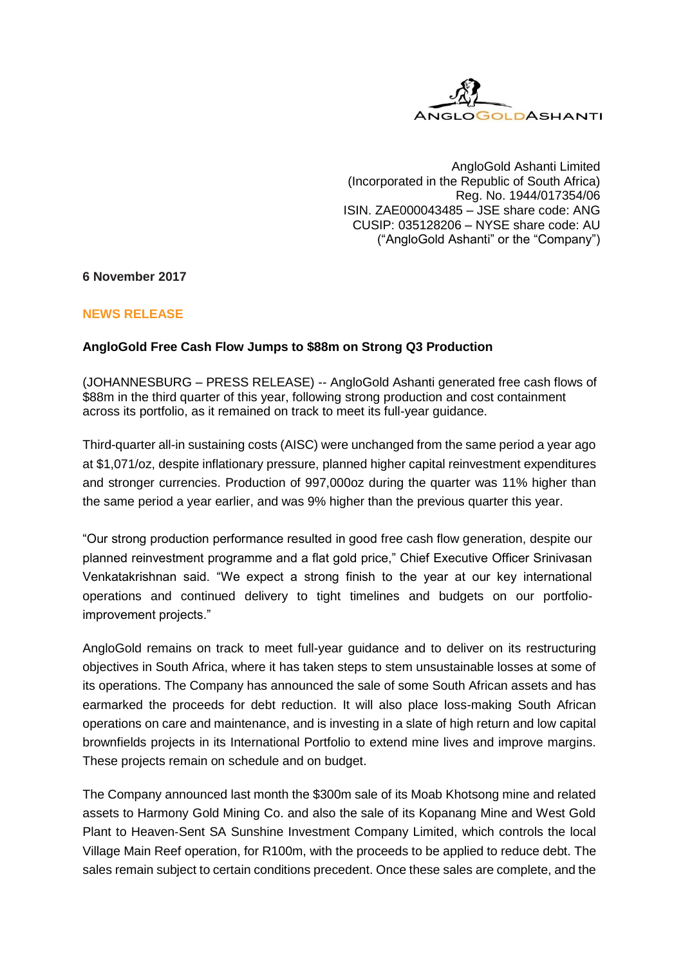

AngloGold Ashanti Limited (Incorporated in the Republic of South Africa) Reg. No. 1944/017354/06 ISIN. ZAE000043485 – JSE share code: ANG CUSIP: 035128206 – NYSE share code: AU ("AngloGold Ashanti" or the "Company")

# **6 November 2017**

# **NEWS RELEASE**

# **AngloGold Free Cash Flow Jumps to \$88m on Strong Q3 Production**

(JOHANNESBURG – PRESS RELEASE) -- AngloGold Ashanti generated free cash flows of \$88m in the third quarter of this year, following strong production and cost containment across its portfolio, as it remained on track to meet its full-year guidance.

Third-quarter all-in sustaining costs (AISC) were unchanged from the same period a year ago at \$1,071/oz, despite inflationary pressure, planned higher capital reinvestment expenditures and stronger currencies. Production of 997,000oz during the quarter was 11% higher than the same period a year earlier, and was 9% higher than the previous quarter this year.

"Our strong production performance resulted in good free cash flow generation, despite our planned reinvestment programme and a flat gold price," Chief Executive Officer Srinivasan Venkatakrishnan said. "We expect a strong finish to the year at our key international operations and continued delivery to tight timelines and budgets on our portfolioimprovement projects."

AngloGold remains on track to meet full-year guidance and to deliver on its restructuring objectives in South Africa, where it has taken steps to stem unsustainable losses at some of its operations. The Company has announced the sale of some South African assets and has earmarked the proceeds for debt reduction. It will also place loss-making South African operations on care and maintenance, and is investing in a slate of high return and low capital brownfields projects in its International Portfolio to extend mine lives and improve margins. These projects remain on schedule and on budget.

The Company announced last month the \$300m sale of its Moab Khotsong mine and related assets to Harmony Gold Mining Co. and also the sale of its Kopanang Mine and West Gold Plant to Heaven‐Sent SA Sunshine Investment Company Limited, which controls the local Village Main Reef operation, for R100m, with the proceeds to be applied to reduce debt. The sales remain subject to certain conditions precedent. Once these sales are complete, and the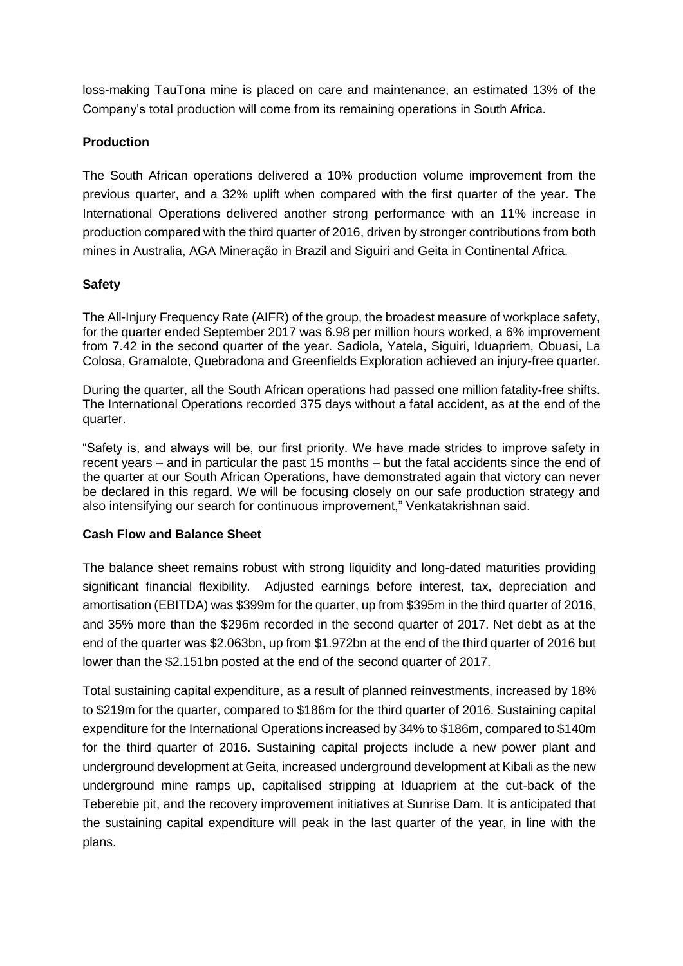loss-making TauTona mine is placed on care and maintenance, an estimated 13% of the Company's total production will come from its remaining operations in South Africa.

# **Production**

The South African operations delivered a 10% production volume improvement from the previous quarter, and a 32% uplift when compared with the first quarter of the year. The International Operations delivered another strong performance with an 11% increase in production compared with the third quarter of 2016, driven by stronger contributions from both mines in Australia, AGA Mineração in Brazil and Siguiri and Geita in Continental Africa.

# **Safety**

The All-Injury Frequency Rate (AIFR) of the group, the broadest measure of workplace safety, for the quarter ended September 2017 was 6.98 per million hours worked, a 6% improvement from 7.42 in the second quarter of the year. Sadiola, Yatela, Siguiri, Iduapriem, Obuasi, La Colosa, Gramalote, Quebradona and Greenfields Exploration achieved an injury-free quarter.

During the quarter, all the South African operations had passed one million fatality-free shifts. The International Operations recorded 375 days without a fatal accident, as at the end of the quarter.

"Safety is, and always will be, our first priority. We have made strides to improve safety in recent years – and in particular the past 15 months – but the fatal accidents since the end of the quarter at our South African Operations, have demonstrated again that victory can never be declared in this regard. We will be focusing closely on our safe production strategy and also intensifying our search for continuous improvement," Venkatakrishnan said.

# **Cash Flow and Balance Sheet**

The balance sheet remains robust with strong liquidity and long-dated maturities providing significant financial flexibility. Adjusted earnings before interest, tax, depreciation and amortisation (EBITDA) was \$399m for the quarter, up from \$395m in the third quarter of 2016, and 35% more than the \$296m recorded in the second quarter of 2017. Net debt as at the end of the quarter was \$2.063bn, up from \$1.972bn at the end of the third quarter of 2016 but lower than the \$2.151bn posted at the end of the second quarter of 2017.

Total sustaining capital expenditure, as a result of planned reinvestments, increased by 18% to \$219m for the quarter, compared to \$186m for the third quarter of 2016. Sustaining capital expenditure for the International Operations increased by 34% to \$186m, compared to \$140m for the third quarter of 2016. Sustaining capital projects include a new power plant and underground development at Geita, increased underground development at Kibali as the new underground mine ramps up, capitalised stripping at Iduapriem at the cut-back of the Teberebie pit, and the recovery improvement initiatives at Sunrise Dam. It is anticipated that the sustaining capital expenditure will peak in the last quarter of the year, in line with the plans.